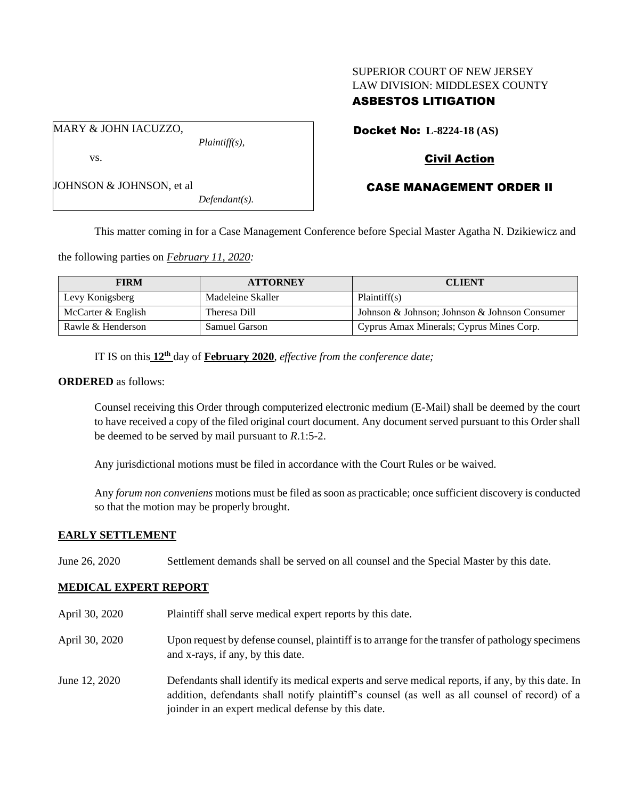# SUPERIOR COURT OF NEW JERSEY LAW DIVISION: MIDDLESEX COUNTY

# ASBESTOS LITIGATION

Docket No: **L-8224-18 (AS)**

## Civil Action

# CASE MANAGEMENT ORDER II

JOHNSON & JOHNSON, et al

*Defendant(s).*

This matter coming in for a Case Management Conference before Special Master Agatha N. Dzikiewicz and

the following parties on *February 11, 2020:*

| <b>FIRM</b>        | <b>ATTORNEY</b>      | <b>CLIENT</b>                                 |
|--------------------|----------------------|-----------------------------------------------|
| Levy Konigsberg    | Madeleine Skaller    | Plaintiff(s)                                  |
| McCarter & English | Theresa Dill         | Johnson & Johnson; Johnson & Johnson Consumer |
| Rawle & Henderson  | <b>Samuel Garson</b> | Cyprus Amax Minerals; Cyprus Mines Corp.      |

IT IS on this **12th** day of **February 2020**, *effective from the conference date;*

## **ORDERED** as follows:

Counsel receiving this Order through computerized electronic medium (E-Mail) shall be deemed by the court to have received a copy of the filed original court document. Any document served pursuant to this Order shall be deemed to be served by mail pursuant to *R*.1:5-2.

Any jurisdictional motions must be filed in accordance with the Court Rules or be waived.

Any *forum non conveniens* motions must be filed as soon as practicable; once sufficient discovery is conducted so that the motion may be properly brought.

## **EARLY SETTLEMENT**

June 26, 2020 Settlement demands shall be served on all counsel and the Special Master by this date.

## **MEDICAL EXPERT REPORT**

- April 30, 2020 Plaintiff shall serve medical expert reports by this date.
- April 30, 2020 Upon request by defense counsel, plaintiff is to arrange for the transfer of pathology specimens and x-rays, if any, by this date.
- June 12, 2020 Defendants shall identify its medical experts and serve medical reports, if any, by this date. In addition, defendants shall notify plaintiff's counsel (as well as all counsel of record) of a joinder in an expert medical defense by this date.

MARY & JOHN IACUZZO, *Plaintiff(s),*

vs.